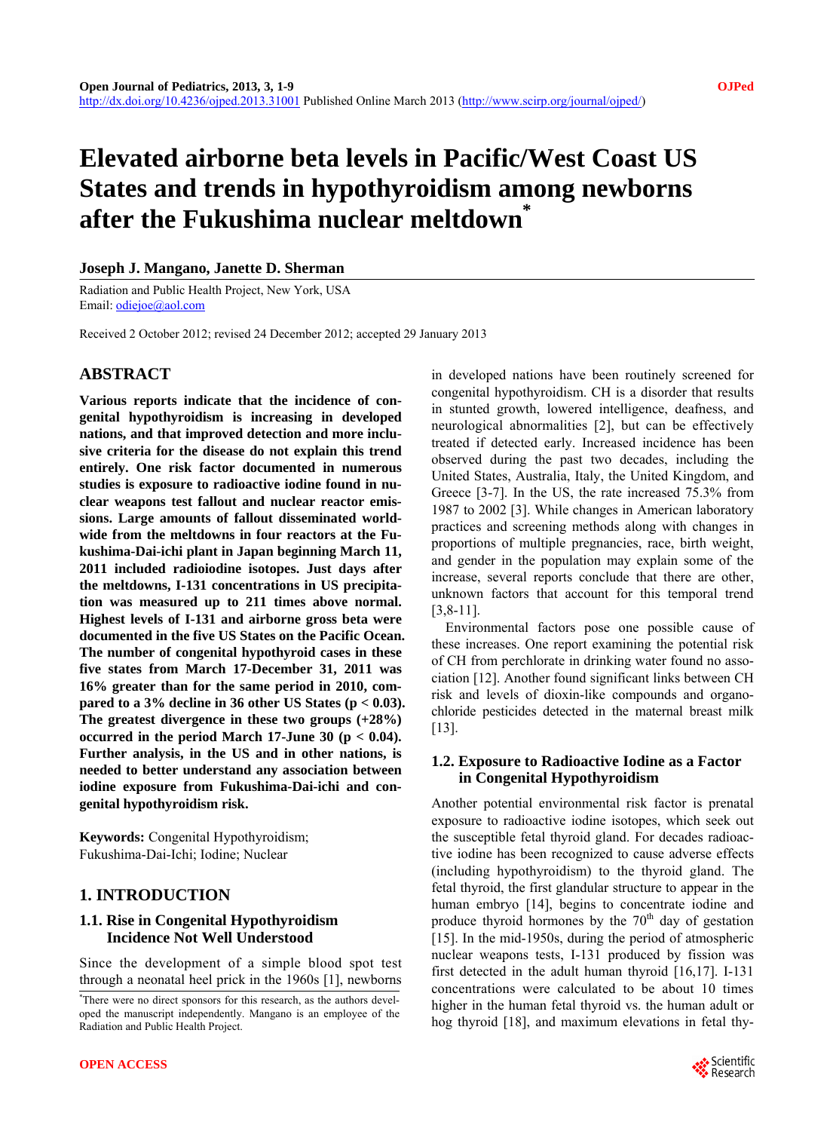# **Elevated airborne beta levels in Pacific/West Coast US States and trends in hypothyroidism among newborns after the Fukushima nuclear meltdown\***

#### **Joseph J. Mangano, Janette D. Sherman**

Radiation and Public Health Project, New York, USA Email: [odiejoe@aol.com](mailto:odiejoe@aol.com) 

Received 2 October 2012; revised 24 December 2012; accepted 29 January 2013

### **ABSTRACT**

**Various reports indicate that the incidence of congenital hypothyroidism is increasing in developed nations, and that improved detection and more inclusive criteria for the disease do not explain this trend entirely. One risk factor documented in numerous studies is exposure to radioactive iodine found in nuclear weapons test fallout and nuclear reactor emissions. Large amounts of fallout disseminated worldwide from the meltdowns in four reactors at the Fukushima-Dai-ichi plant in Japan beginning March 11, 2011 included radioiodine isotopes. Just days after the meltdowns, I-131 concentrations in US precipitation was measured up to 211 times above normal. Highest levels of I-131 and airborne gross beta were documented in the five US States on the Pacific Ocean. The number of congenital hypothyroid cases in these five states from March 17-December 31, 2011 was 16% greater than for the same period in 2010, compared to a 3% decline in 36 other US States (p < 0.03). The greatest divergence in these two groups (+28%)**  occurred in the period March 17-June 30 ( $p < 0.04$ ). **Further analysis, in the US and in other nations, is needed to better understand any association between iodine exposure from Fukushima-Dai-ichi and congenital hypothyroidism risk.** 

**Keywords:** Congenital Hypothyroidism; Fukushima-Dai-Ichi; Iodine; Nuclear

#### **1. INTRODUCTION**

#### **1.1. Rise in Congenital Hypothyroidism Incidence Not Well Understood**

Since the development of a simple blood spot test through a neonatal heel prick in the 1960s [1], newborns

in developed nations have been routinely screened for congenital hypothyroidism. CH is a disorder that results in stunted growth, lowered intelligence, deafness, and neurological abnormalities [2], but can be effectively treated if detected early. Increased incidence has been observed during the past two decades, including the United States, Australia, Italy, the United Kingdom, and Greece [3-7]. In the US, the rate increased 75.3% from 1987 to 2002 [3]. While changes in American laboratory practices and screening methods along with changes in proportions of multiple pregnancies, race, birth weight, and gender in the population may explain some of the increase, several reports conclude that there are other, unknown factors that account for this temporal trend [3,8-11].

Environmental factors pose one possible cause of these increases. One report examining the potential risk of CH from perchlorate in drinking water found no association [12]. Another found significant links between CH risk and levels of dioxin-like compounds and organochloride pesticides detected in the maternal breast milk [13].

#### **1.2. Exposure to Radioactive Iodine as a Factor in Congenital Hypothyroidism**

Another potential environmental risk factor is prenatal exposure to radioactive iodine isotopes, which seek out the susceptible fetal thyroid gland. For decades radioactive iodine has been recognized to cause adverse effects (including hypothyroidism) to the thyroid gland. The fetal thyroid, the first glandular structure to appear in the human embryo [14], begins to concentrate iodine and produce thyroid hormones by the  $70<sup>th</sup>$  day of gestation [15]. In the mid-1950s, during the period of atmospheric nuclear weapons tests, I-131 produced by fission was first detected in the adult human thyroid [16,17]. I-131 concentrations were calculated to be about 10 times higher in the human fetal thyroid vs. the human adult or hog thyroid [18], and maximum elevations in fetal thy-



<sup>\*</sup> There were no direct sponsors for this research, as the authors developed the manuscript independently. Mangano is an employee of the Radiation and Public Health Project.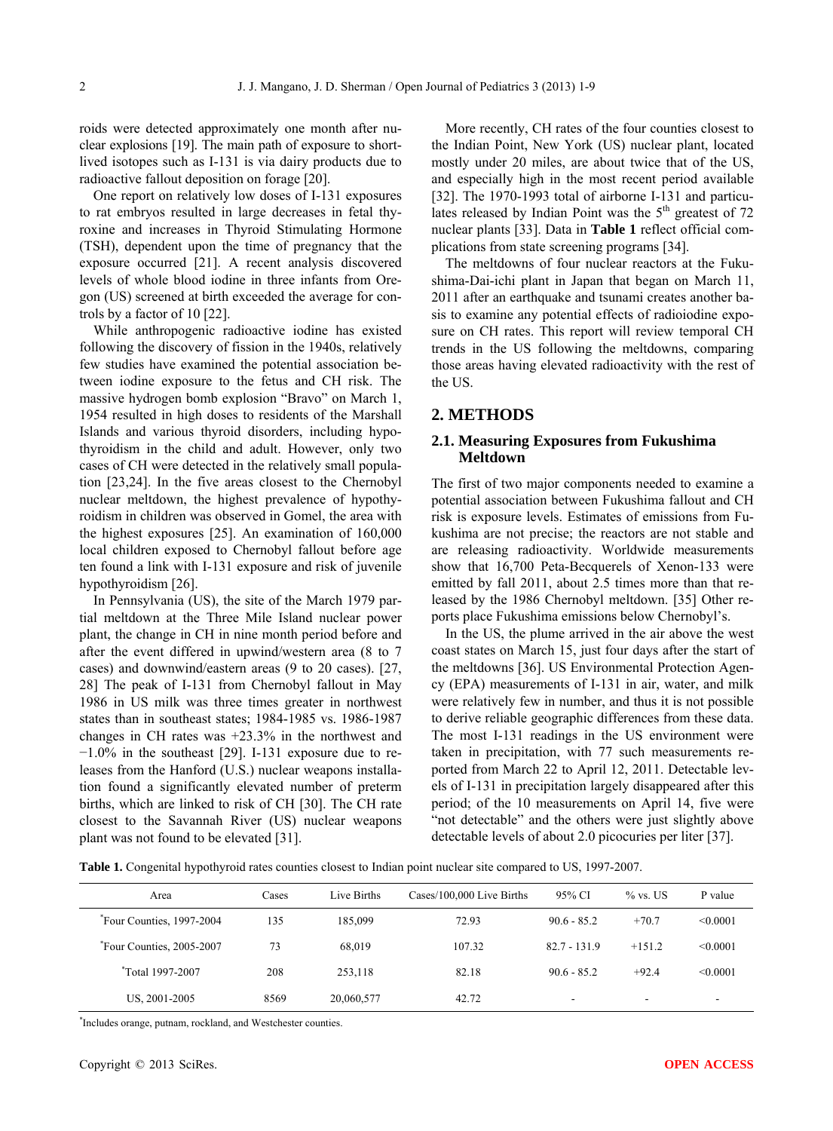roids were detected approximately one month after nuclear explosions [19]. The main path of exposure to shortlived isotopes such as I-131 is via dairy products due to radioactive fallout deposition on forage [20].

One report on relatively low doses of I-131 exposures to rat embryos resulted in large decreases in fetal thyroxine and increases in Thyroid Stimulating Hormone (TSH), dependent upon the time of pregnancy that the exposure occurred [21]. A recent analysis discovered levels of whole blood iodine in three infants from Oregon (US) screened at birth exceeded the average for controls by a factor of 10 [22].

While anthropogenic radioactive iodine has existed following the discovery of fission in the 1940s, relatively few studies have examined the potential association between iodine exposure to the fetus and CH risk. The massive hydrogen bomb explosion "Bravo" on March 1, 1954 resulted in high doses to residents of the Marshall Islands and various thyroid disorders, including hypothyroidism in the child and adult. However, only two cases of CH were detected in the relatively small population [23,24]. In the five areas closest to the Chernobyl nuclear meltdown, the highest prevalence of hypothyroidism in children was observed in Gomel, the area with the highest exposures [25]. An examination of 160,000 local children exposed to Chernobyl fallout before age ten found a link with I-131 exposure and risk of juvenile hypothyroidism [26].

In Pennsylvania (US), the site of the March 1979 partial meltdown at the Three Mile Island nuclear power plant, the change in CH in nine month period before and after the event differed in upwind/western area (8 to 7 cases) and downwind/eastern areas (9 to 20 cases). [27, 28] The peak of I-131 from Chernobyl fallout in May 1986 in US milk was three times greater in northwest states than in southeast states; 1984-1985 vs. 1986-1987 changes in CH rates was +23.3% in the northwest and  $-1.0\%$  in the southeast [29]. I-131 exposure due to releases from the Hanford (U.S.) nuclear weapons installation found a significantly elevated number of preterm births, which are linked to risk of CH [30]. The CH rate closest to the Savannah River (US) nuclear weapons plant was not found to be elevated [31].

More recently, CH rates of the four counties closest to the Indian Point, New York (US) nuclear plant, located mostly under 20 miles, are about twice that of the US, and especially high in the most recent period available [32]. The 1970-1993 total of airborne I-131 and particulates released by Indian Point was the  $5<sup>th</sup>$  greatest of 72 nuclear plants [33]. Data in **Table 1** reflect official complications from state screening programs [34].

The meltdowns of four nuclear reactors at the Fukushima-Dai-ichi plant in Japan that began on March 11, 2011 after an earthquake and tsunami creates another basis to examine any potential effects of radioiodine exposure on CH rates. This report will review temporal CH trends in the US following the meltdowns, comparing those areas having elevated radioactivity with the rest of the US.

#### **2. METHODS**

#### **2.1. Measuring Exposures from Fukushima Meltdown**

The first of two major components needed to examine a potential association between Fukushima fallout and CH risk is exposure levels. Estimates of emissions from Fukushima are not precise; the reactors are not stable and are releasing radioactivity. Worldwide measurements show that 16,700 Peta-Becquerels of Xenon-133 were emitted by fall 2011, about 2.5 times more than that released by the 1986 Chernobyl meltdown. [35] Other reports place Fukushima emissions below Chernobyl's.

In the US, the plume arrived in the air above the west coast states on March 15, just four days after the start of the meltdowns [36]. US Environmental Protection Agency (EPA) measurements of I-131 in air, water, and milk were relatively few in number, and thus it is not possible to derive reliable geographic differences from these data. The most I-131 readings in the US environment were taken in precipitation, with 77 such measurements reported from March 22 to April 12, 2011. Detectable levels of I-131 in precipitation largely disappeared after this period; of the 10 measurements on April 14, five were "not detectable" and the others were just slightly above detectable levels of about 2.0 picocuries per liter [37].

**Table 1.** Congenital hypothyroid rates counties closest to Indian point nuclear site compared to US, 1997-2007.

| Area                                  | Cases | Live Births | Cases/100,000 Live Births | 95% CI         | $\%$ vs. US              | P value  |
|---------------------------------------|-------|-------------|---------------------------|----------------|--------------------------|----------|
| Four Counties, 1997-2004 <sup>*</sup> | 135   | 185,099     | 72.93                     | $90.6 - 85.2$  | $+70.7$                  | < 0.0001 |
| Four Counties, 2005-2007 <sup>*</sup> | 73    | 68.019      | 107.32                    | $82.7 - 131.9$ | $+151.2$                 | < 0.0001 |
| <i>*Total</i> 1997-2007               | 208   | 253,118     | 82.18                     | $90.6 - 85.2$  | $+92.4$                  | < 0.0001 |
| US, 2001-2005                         | 8569  | 20,060,577  | 42.72                     | ۰              | $\overline{\phantom{a}}$ | -        |

\* Includes orange, putnam, rockland, and Westchester counties.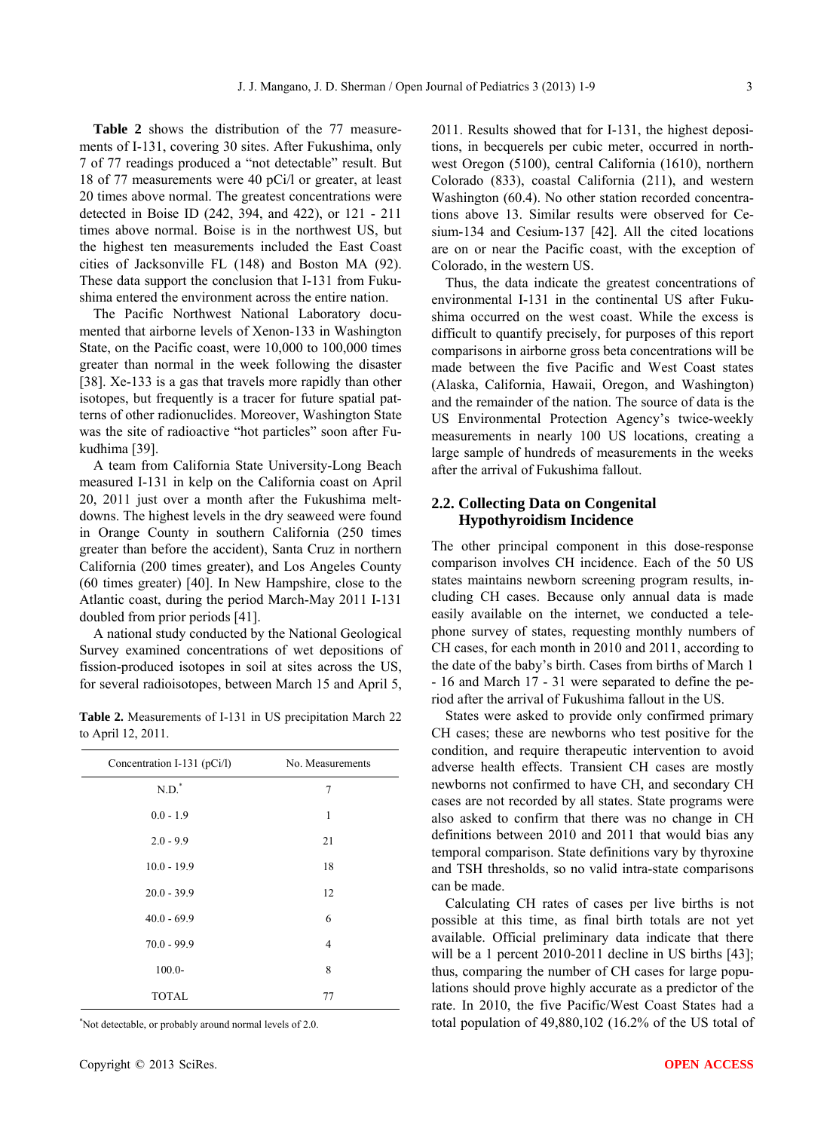**Table 2** shows the distribution of the 77 measurements of I-131, covering 30 sites. After Fukushima, only 7 of 77 readings produced a "not detectable" result. But 18 of 77 measurements were 40 pCi/l or greater, at least 20 times above normal. The greatest concentrations were detected in Boise ID (242, 394, and 422), or 121 - 211 times above normal. Boise is in the northwest US, but the highest ten measurements included the East Coast cities of Jacksonville FL (148) and Boston MA (92). These data support the conclusion that I-131 from Fukushima entered the environment across the entire nation.

The Pacific Northwest National Laboratory documented that airborne levels of Xenon-133 in Washington State, on the Pacific coast, were 10,000 to 100,000 times greater than normal in the week following the disaster [38]. Xe-133 is a gas that travels more rapidly than other isotopes, but frequently is a tracer for future spatial patterns of other radionuclides. Moreover, Washington State was the site of radioactive "hot particles" soon after Fukudhima [39].

A team from California State University-Long Beach measured I-131 in kelp on the California coast on April 20, 2011 just over a month after the Fukushima meltdowns. The highest levels in the dry seaweed were found in Orange County in southern California (250 times greater than before the accident), Santa Cruz in northern California (200 times greater), and Los Angeles County (60 times greater) [40]. In New Hampshire, close to the Atlantic coast, during the period March-May 2011 I-131 doubled from prior periods [41].

A national study conducted by the National Geological Survey examined concentrations of wet depositions of fission-produced isotopes in soil at sites across the US, for several radioisotopes, between March 15 and April 5,

**Table 2.** Measurements of I-131 in US precipitation March 22 to April 12, 2011.

| Concentration I-131 (pCi/l) | No. Measurements |
|-----------------------------|------------------|
| $N.D.*$                     | 7                |
| $0.0 - 1.9$                 | 1                |
| $2.0 - 9.9$                 | 21               |
| $10.0 - 19.9$               | 18               |
| $20.0 - 39.9$               | 12               |
| $40.0 - 69.9$               | 6                |
| $70.0 - 99.9$               | 4                |
| $100.0 -$                   | 8                |
| <b>TOTAL</b>                | 77               |

\* Not detectable, or probably around normal levels of 2.0.

2011. Results showed that for I-131, the highest depositions, in becquerels per cubic meter, occurred in northwest Oregon (5100), central California (1610), northern Colorado (833), coastal California (211), and western Washington (60.4). No other station recorded concentrations above 13. Similar results were observed for Cesium-134 and Cesium-137 [42]. All the cited locations are on or near the Pacific coast, with the exception of Colorado, in the western US.

Thus, the data indicate the greatest concentrations of environmental I-131 in the continental US after Fukushima occurred on the west coast. While the excess is difficult to quantify precisely, for purposes of this report comparisons in airborne gross beta concentrations will be made between the five Pacific and West Coast states (Alaska, California, Hawaii, Oregon, and Washington) and the remainder of the nation. The source of data is the US Environmental Protection Agency's twice-weekly measurements in nearly 100 US locations, creating a large sample of hundreds of measurements in the weeks after the arrival of Fukushima fallout.

#### **2.2. Collecting Data on Congenital Hypothyroidism Incidence**

The other principal component in this dose-response comparison involves CH incidence. Each of the 50 US states maintains newborn screening program results, including CH cases. Because only annual data is made easily available on the internet, we conducted a telephone survey of states, requesting monthly numbers of CH cases, for each month in 2010 and 2011, according to the date of the baby's birth. Cases from births of March 1 - 16 and March 17 - 31 were separated to define the period after the arrival of Fukushima fallout in the US.

States were asked to provide only confirmed primary CH cases; these are newborns who test positive for the condition, and require therapeutic intervention to avoid adverse health effects. Transient CH cases are mostly newborns not confirmed to have CH, and secondary CH cases are not recorded by all states. State programs were also asked to confirm that there was no change in CH definitions between 2010 and 2011 that would bias any temporal comparison. State definitions vary by thyroxine and TSH thresholds, so no valid intra-state comparisons can be made.

Calculating CH rates of cases per live births is not possible at this time, as final birth totals are not yet available. Official preliminary data indicate that there will be a 1 percent 2010-2011 decline in US births [43]; thus, comparing the number of CH cases for large populations should prove highly accurate as a predictor of the rate. In 2010, the five Pacific/West Coast States had a total population of 49,880,102 (16.2% of the US total of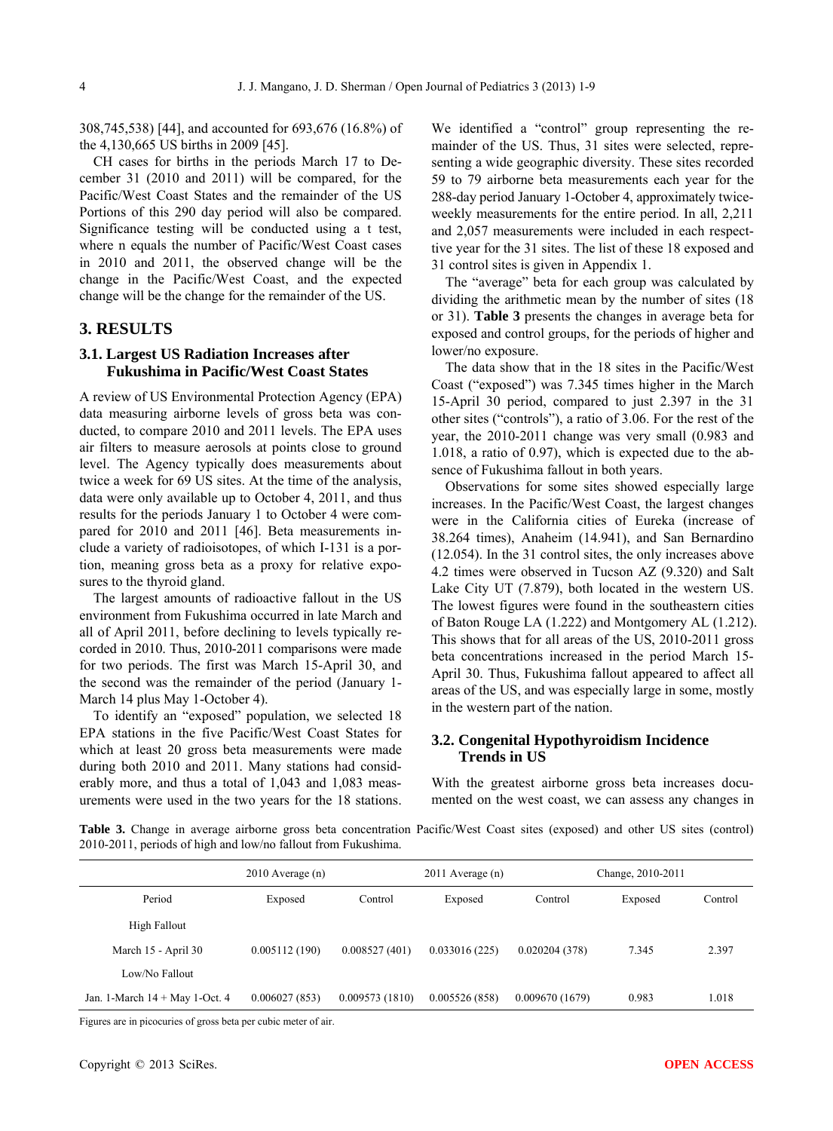308,745,538) [44], and accounted for 693,676 (16.8%) of the 4,130,665 US births in 2009 [45].

CH cases for births in the periods March 17 to December 31 (2010 and 2011) will be compared, for the Pacific/West Coast States and the remainder of the US Portions of this 290 day period will also be compared. Significance testing will be conducted using a t test, where n equals the number of Pacific/West Coast cases in 2010 and 2011, the observed change will be the change in the Pacific/West Coast, and the expected change will be the change for the remainder of the US.

#### **3. RESULTS**

#### **3.1. Largest US Radiation Increases after Fukushima in Pacific/West Coast States**

A review of US Environmental Protection Agency (EPA) data measuring airborne levels of gross beta was conducted, to compare 2010 and 2011 levels. The EPA uses air filters to measure aerosols at points close to ground level. The Agency typically does measurements about twice a week for 69 US sites. At the time of the analysis, data were only available up to October 4, 2011, and thus results for the periods January 1 to October 4 were compared for 2010 and 2011 [46]. Beta measurements include a variety of radioisotopes, of which I-131 is a portion, meaning gross beta as a proxy for relative exposures to the thyroid gland.

The largest amounts of radioactive fallout in the US environment from Fukushima occurred in late March and all of April 2011, before declining to levels typically recorded in 2010. Thus, 2010-2011 comparisons were made for two periods. The first was March 15-April 30, and the second was the remainder of the period (January 1- March 14 plus May 1-October 4).

To identify an "exposed" population, we selected 18 EPA stations in the five Pacific/West Coast States for which at least 20 gross beta measurements were made during both 2010 and 2011. Many stations had considerably more, and thus a total of 1,043 and 1,083 measurements were used in the two years for the 18 stations.

We identified a "control" group representing the remainder of the US. Thus, 31 sites were selected, representing a wide geographic diversity. These sites recorded 59 to 79 airborne beta measurements each year for the 288-day period January 1-October 4, approximately twiceweekly measurements for the entire period. In all, 2,211 and 2,057 measurements were included in each respecttive year for the 31 sites. The list of these 18 exposed and 31 control sites is given in Appendix 1.

The "average" beta for each group was calculated by dividing the arithmetic mean by the number of sites (18 or 31). **Table 3** presents the changes in average beta for exposed and control groups, for the periods of higher and lower/no exposure.

The data show that in the 18 sites in the Pacific/West Coast ("exposed") was 7.345 times higher in the March 15-April 30 period, compared to just 2.397 in the 31 other sites ("controls"), a ratio of 3.06. For the rest of the year, the 2010-2011 change was very small (0.983 and 1.018, a ratio of 0.97), which is expected due to the absence of Fukushima fallout in both years.

Observations for some sites showed especially large increases. In the Pacific/West Coast, the largest changes were in the California cities of Eureka (increase of 38.264 times), Anaheim (14.941), and San Bernardino (12.054). In the 31 control sites, the only increases above 4.2 times were observed in Tucson AZ (9.320) and Salt Lake City UT (7.879), both located in the western US. The lowest figures were found in the southeastern cities of Baton Rouge LA (1.222) and Montgomery AL (1.212). This shows that for all areas of the US, 2010-2011 gross beta concentrations increased in the period March 15- April 30. Thus, Fukushima fallout appeared to affect all areas of the US, and was especially large in some, mostly in the western part of the nation.

#### **3.2. Congenital Hypothyroidism Incidence Trends in US**

With the greatest airborne gross beta increases documented on the west coast, we can assess any changes in

**Table 3.** Change in average airborne gross beta concentration Pacific/West Coast sites (exposed) and other US sites (control) 2010-2011, periods of high and low/no fallout from Fukushima.

|                                  | $2010$ Average (n) |                | $2011$ Average (n) |                | Change, 2010-2011 |         |
|----------------------------------|--------------------|----------------|--------------------|----------------|-------------------|---------|
| Period                           | Exposed            | Control        | Exposed            | Control        | Exposed           | Control |
| High Fallout                     |                    |                |                    |                |                   |         |
| March 15 - April 30              | 0.005112(190)      | 0.008527(401)  | 0.033016(225)      | 0.020204(378)  | 7.345             | 2.397   |
| Low/No Fallout                   |                    |                |                    |                |                   |         |
| Jan. 1-March $14 +$ May 1-Oct. 4 | 0.006027(853)      | 0.009573(1810) | 0.005526(858)      | 0.009670(1679) | 0.983             | 1.018   |

Figures are in picocuries of gross beta per cubic meter of air.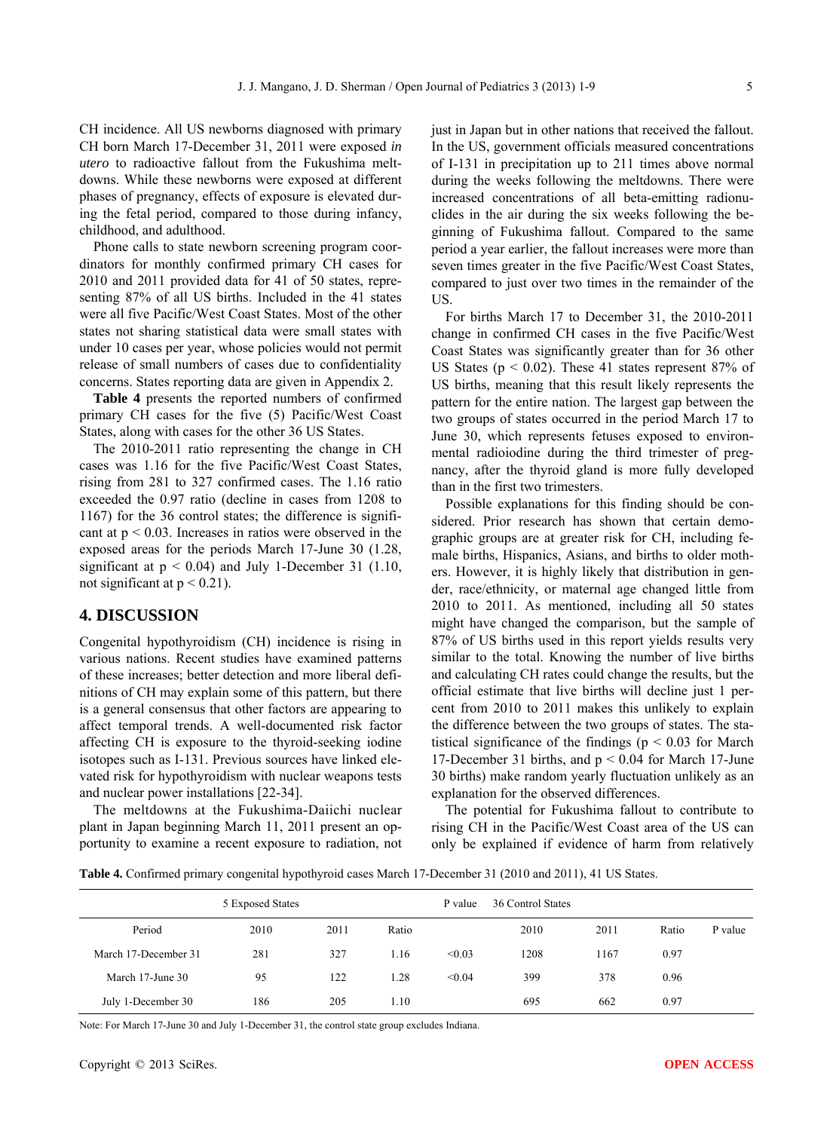CH incidence. All US newborns diagnosed with primary CH born March 17-December 31, 2011 were exposed *in utero* to radioactive fallout from the Fukushima meltdowns. While these newborns were exposed at different phases of pregnancy, effects of exposure is elevated during the fetal period, compared to those during infancy, childhood, and adulthood.

Phone calls to state newborn screening program coordinators for monthly confirmed primary CH cases for 2010 and 2011 provided data for 41 of 50 states, representing 87% of all US births. Included in the 41 states were all five Pacific/West Coast States. Most of the other states not sharing statistical data were small states with under 10 cases per year, whose policies would not permit release of small numbers of cases due to confidentiality concerns. States reporting data are given in Appendix 2.

**Table 4** presents the reported numbers of confirmed primary CH cases for the five (5) Pacific/West Coast States, along with cases for the other 36 US States.

The 2010-2011 ratio representing the change in CH cases was 1.16 for the five Pacific/West Coast States, rising from 281 to 327 confirmed cases. The 1.16 ratio exceeded the 0.97 ratio (decline in cases from 1208 to 1167) for the 36 control states; the difference is significant at  $p < 0.03$ . Increases in ratios were observed in the exposed areas for the periods March 17-June 30 (1.28, significant at  $p < 0.04$ ) and July 1-December 31 (1.10, not significant at  $p < 0.21$ ).

### **4. DISCUSSION**

Congenital hypothyroidism (CH) incidence is rising in various nations. Recent studies have examined patterns of these increases; better detection and more liberal definitions of CH may explain some of this pattern, but there is a general consensus that other factors are appearing to affect temporal trends. A well-documented risk factor affecting CH is exposure to the thyroid-seeking iodine isotopes such as I-131. Previous sources have linked elevated risk for hypothyroidism with nuclear weapons tests and nuclear power installations [22-34].

The meltdowns at the Fukushima-Daiichi nuclear plant in Japan beginning March 11, 2011 present an opportunity to examine a recent exposure to radiation, not just in Japan but in other nations that received the fallout. In the US, government officials measured concentrations of I-131 in precipitation up to 211 times above normal during the weeks following the meltdowns. There were increased concentrations of all beta-emitting radionuclides in the air during the six weeks following the beginning of Fukushima fallout. Compared to the same period a year earlier, the fallout increases were more than seven times greater in the five Pacific/West Coast States, compared to just over two times in the remainder of the US.

For births March 17 to December 31, the 2010-2011 change in confirmed CH cases in the five Pacific/West Coast States was significantly greater than for 36 other US States ( $p < 0.02$ ). These 41 states represent 87% of US births, meaning that this result likely represents the pattern for the entire nation. The largest gap between the two groups of states occurred in the period March 17 to June 30, which represents fetuses exposed to environmental radioiodine during the third trimester of pregnancy, after the thyroid gland is more fully developed than in the first two trimesters.

Possible explanations for this finding should be considered. Prior research has shown that certain demographic groups are at greater risk for CH, including female births, Hispanics, Asians, and births to older mothers. However, it is highly likely that distribution in gender, race/ethnicity, or maternal age changed little from 2010 to 2011. As mentioned, including all 50 states might have changed the comparison, but the sample of 87% of US births used in this report yields results very similar to the total. Knowing the number of live births and calculating CH rates could change the results, but the official estimate that live births will decline just 1 percent from 2010 to 2011 makes this unlikely to explain the difference between the two groups of states. The statistical significance of the findings ( $p < 0.03$  for March 17-December 31 births, and p < 0.04 for March 17-June 30 births) make random yearly fluctuation unlikely as an explanation for the observed differences.

The potential for Fukushima fallout to contribute to rising CH in the Pacific/West Coast area of the US can only be explained if evidence of harm from relatively

**Table 4.** Confirmed primary congenital hypothyroid cases March 17-December 31 (2010 and 2011), 41 US States.

|                      | 5 Exposed States |      |       | P value | 36 Control States |      |       |         |
|----------------------|------------------|------|-------|---------|-------------------|------|-------|---------|
| Period               | 2010             | 2011 | Ratio |         | 2010              | 2011 | Ratio | P value |
| March 17-December 31 | 281              | 327  | 1.16  | < 0.03  | 1208              | 167  | 0.97  |         |
| March 17-June 30     | 95               | 122  | 1.28  | < 0.04  | 399               | 378  | 0.96  |         |
| July 1-December 30   | 186              | 205  | 1.10  |         | 695               | 662  | 0.97  |         |

Note: For March 17-June 30 and July 1-December 31, the control state group excludes Indiana.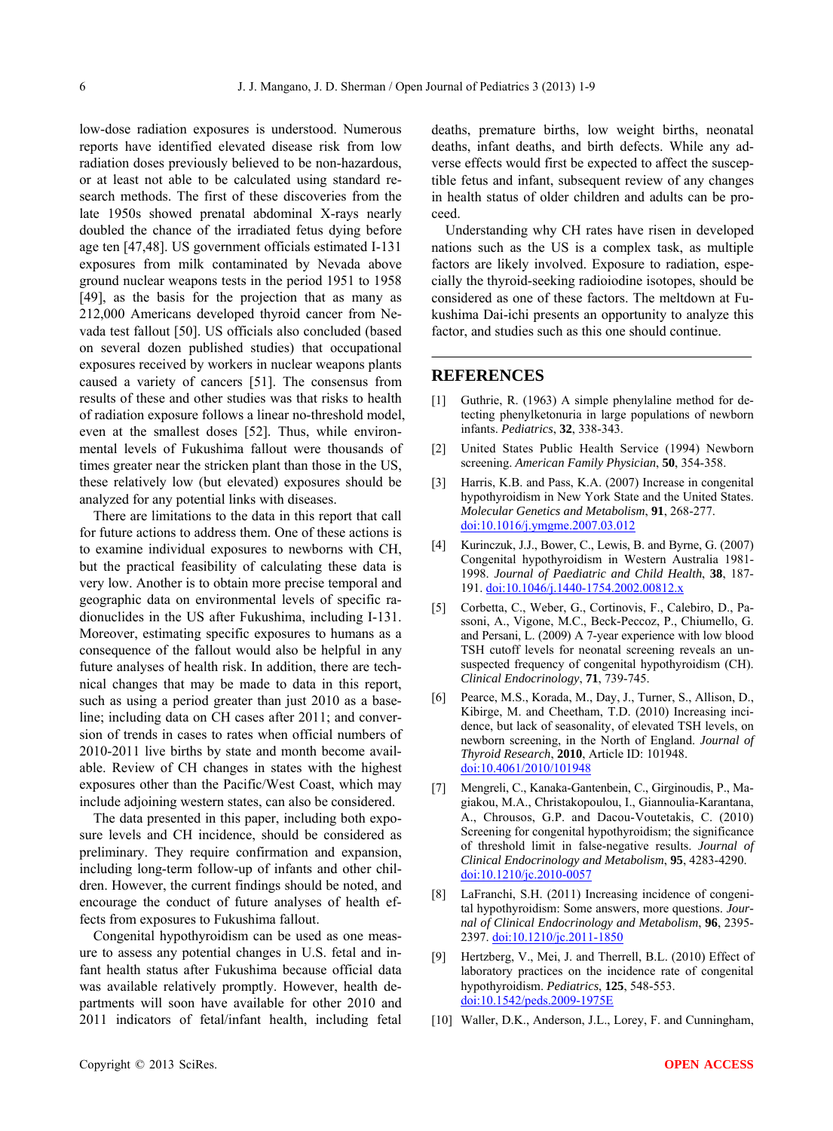low-dose radiation exposures is understood. Numerous reports have identified elevated disease risk from low radiation doses previously believed to be non-hazardous, or at least not able to be calculated using standard research methods. The first of these discoveries from the late 1950s showed prenatal abdominal X-rays nearly doubled the chance of the irradiated fetus dying before age ten [47,48]. US government officials estimated I-131 exposures from milk contaminated by Nevada above ground nuclear weapons tests in the period 1951 to 1958 [49], as the basis for the projection that as many as 212,000 Americans developed thyroid cancer from Nevada test fallout [50]. US officials also concluded (based on several dozen published studies) that occupational exposures received by workers in nuclear weapons plants caused a variety of cancers [51]. The consensus from results of these and other studies was that risks to health of radiation exposure follows a linear no-threshold model, even at the smallest doses [52]. Thus, while environmental levels of Fukushima fallout were thousands of times greater near the stricken plant than those in the US, these relatively low (but elevated) exposures should be analyzed for any potential links with diseases.

There are limitations to the data in this report that call for future actions to address them. One of these actions is to examine individual exposures to newborns with CH, but the practical feasibility of calculating these data is very low. Another is to obtain more precise temporal and geographic data on environmental levels of specific radionuclides in the US after Fukushima, including I-131. Moreover, estimating specific exposures to humans as a consequence of the fallout would also be helpful in any future analyses of health risk. In addition, there are technical changes that may be made to data in this report, such as using a period greater than just 2010 as a baseline; including data on CH cases after 2011; and conversion of trends in cases to rates when official numbers of 2010-2011 live births by state and month become available. Review of CH changes in states with the highest exposures other than the Pacific/West Coast, which may include adjoining western states, can also be considered.

The data presented in this paper, including both exposure levels and CH incidence, should be considered as preliminary. They require confirmation and expansion, including long-term follow-up of infants and other children. However, the current findings should be noted, and encourage the conduct of future analyses of health effects from exposures to Fukushima fallout.

Congenital hypothyroidism can be used as one measure to assess any potential changes in U.S. fetal and infant health status after Fukushima because official data was available relatively promptly. However, health departments will soon have available for other 2010 and 2011 indicators of fetal/infant health, including fetal deaths, premature births, low weight births, neonatal deaths, infant deaths, and birth defects. While any adverse effects would first be expected to affect the susceptible fetus and infant, subsequent review of any changes in health status of older children and adults can be proceed.

Understanding why CH rates have risen in developed nations such as the US is a complex task, as multiple factors are likely involved. Exposure to radiation, especially the thyroid-seeking radioiodine isotopes, should be considered as one of these factors. The meltdown at Fukushima Dai-ichi presents an opportunity to analyze this factor, and studies such as this one should continue.

#### **REFERENCES**

- [1] Guthrie, R. (1963) A simple phenylaline method for detecting phenylketonuria in large populations of newborn infants. *Pediatrics*, **32**, 338-343.
- [2] United States Public Health Service (1994) Newborn screening. *American Family Physician*, **50**, 354-358.
- [3] Harris, K.B. and Pass, K.A. (2007) Increase in congenital hypothyroidism in New York State and the United States. *Molecular Genetics and Metabolism*, **91**, 268-277. doi:10.1016/j.vmgme.2007.03.012
- [4] Kurinczuk, J.J., Bower, C., Lewis, B. and Byrne, G. (2007) Congenital hypothyroidism in Western Australia 1981- 1998. *Journal of Paediatric and Child Health*, **38**, 187- 191. [doi:10.1046/j.1440-1754.2002.00812.x](http://dx.doi.org/10.1046/j.1440-1754.2002.00812.x)
- [5] Corbetta, C., Weber, G., Cortinovis, F., Calebiro, D., Passoni, A., Vigone, M.C., Beck-Peccoz, P., Chiumello, G. and Persani, L. (2009) A 7-year experience with low blood TSH cutoff levels for neonatal screening reveals an unsuspected frequency of congenital hypothyroidism (CH). *Clinical Endocrinology*, **71**, 739-745.
- [6] Pearce, M.S., Korada, M., Day, J., Turner, S., Allison, D., Kibirge, M. and Cheetham, T.D. (2010) Increasing incidence, but lack of seasonality, of elevated TSH levels, on newborn screening, in the North of England. *Journal of Thyroid Research*, **2010**, Article ID: 101948. [doi:10.4061/2010/101948](http://dx.doi.org/10.4061/2010/101948)
- [7] Mengreli, C., Kanaka-Gantenbein, C., Girginoudis, P., Magiakou, M.A., Christakopoulou, I., Giannoulia-Karantana, A., Chrousos, G.P. and Dacou-Voutetakis, C. (2010) Screening for congenital hypothyroidism; the significance of threshold limit in false-negative results. *Journal of Clinical Endocrinology and Metabolism*, **95**, 4283-4290. [doi:10.1210/jc.2010-0057](http://dx.doi.org/10.1210/jc.2010-0057)
- [8] LaFranchi, S.H. (2011) Increasing incidence of congenital hypothyroidism: Some answers, more questions. *Journal of Clinical Endocrinology and Metabolism*, **96**, 2395- 2397. [doi:10.1210/jc.2011-1850](http://dx.doi.org/10.1210/jc.2011-1850)
- [9] Hertzberg, V., Mei, J. and Therrell, B.L. (2010) Effect of laboratory practices on the incidence rate of congenital hypothyroidism. *Pediatrics*, **125**, 548-553. [doi:10.1542/peds.2009-1975E](http://dx.doi.org/10.1542/peds.2009-1975E)
- [10] Waller, D.K., Anderson, J.L., Lorey, F. and Cunningham,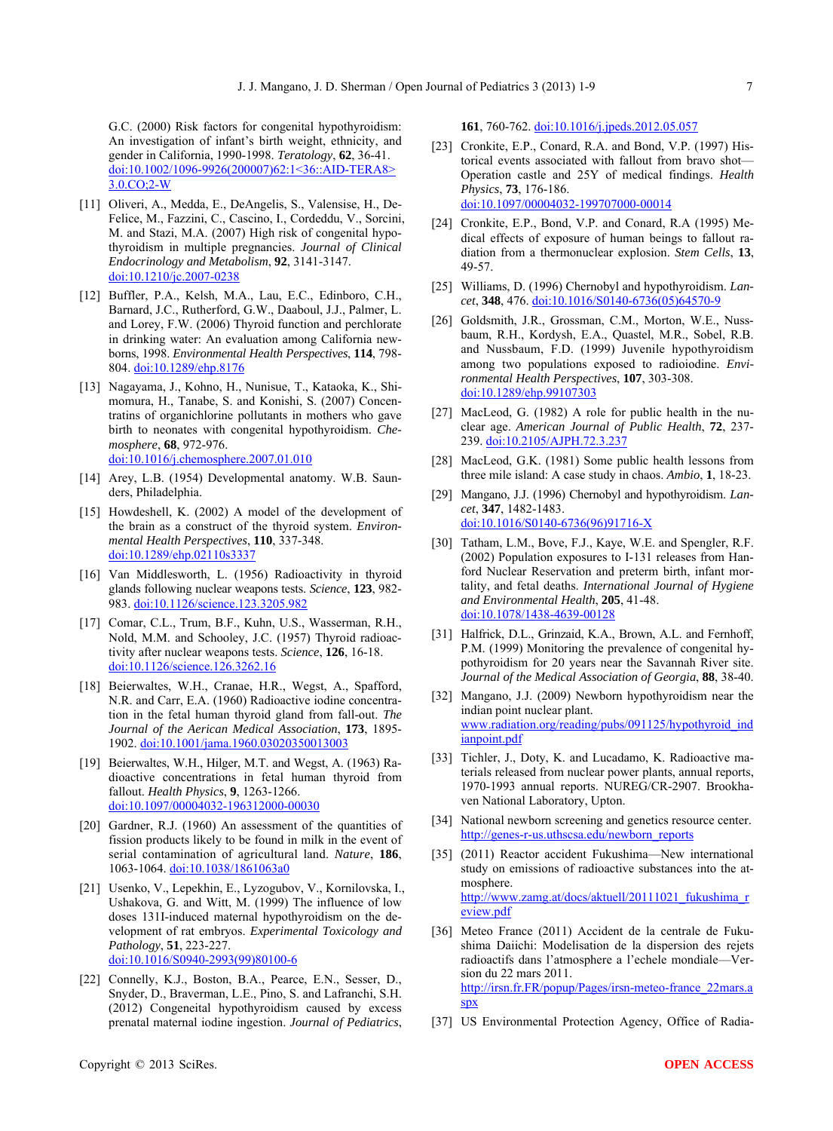G.C. (2000) Risk factors for congenital hypothyroidism: An investigation of infant's birth weight, ethnicity, and gender in California, 1990-1998. *Teratology*, **62**, 36-41. doi:10.1002/1096-9926(200007)62:1<36::AID-TERA8> 3.0.CO;2-W

- [11] Oliveri, A., Medda, E., DeAngelis, S., Valensise, H., De-Felice, M., Fazzini, C., Cascino, I., Cordeddu, V., Sorcini, M. and Stazi, M.A. (2007) High risk of congenital hypothyroidism in multiple pregnancies. *Journal of Clinical Endocrinology and Metabolism*, **92**, 3141-3147. [doi:10.1210/jc.2007-0238](http://dx.doi.org/10.1210/jc.2007-0238)
- [12] Buffler, P.A., Kelsh, M.A., Lau, E.C., Edinboro, C.H., Barnard, J.C., Rutherford, G.W., Daaboul, J.J., Palmer, L. and Lorey, F.W. (2006) Thyroid function and perchlorate in drinking water: An evaluation among California newborns, 1998. *Environmental Health Perspectives*, **114**, 798- 804. [doi:10.1289/ehp.8176](http://dx.doi.org/10.1289/ehp.8176)
- [13] Nagayama, J., Kohno, H., Nunisue, T., Kataoka, K., Shimomura, H., Tanabe, S. and Konishi, S. (2007) Concentratins of organichlorine pollutants in mothers who gave birth to neonates with congenital hypothyroidism. *Chemosphere*, **68**, 972-976. [doi:10.1016/j.chemosphere.2007.01.010](http://dx.doi.org/10.1016/j.chemosphere.2007.01.010)
- [14] Arey, L.B. (1954) Developmental anatomy. W.B. Saunders, Philadelphia.
- [15] Howdeshell, K. (2002) A model of the development of the brain as a construct of the thyroid system. *Environmental Health Perspectives*, **110**, 337-348. [doi:10.1289/ehp.02110s3337](http://dx.doi.org/10.1289/ehp.02110s3337)
- [16] Van Middlesworth, L. (1956) Radioactivity in thyroid glands following nuclear weapons tests. *Science*, **123**, 982- 983. [doi:10.1126/science.123.3205.982](http://dx.doi.org/10.1126/science.123.3205.982)
- [17] Comar, C.L., Trum, B.F., Kuhn, U.S., Wasserman, R.H., Nold, M.M. and Schooley, J.C. (1957) Thyroid radioactivity after nuclear weapons tests. *Science*, **126**, 16-18. [doi:10.1126/science.126.3262.16](http://dx.doi.org/10.1126/science.126.3262.16)
- [18] Beierwaltes, W.H., Cranae, H.R., Wegst, A., Spafford, N.R. and Carr, E.A. (1960) Radioactive iodine concentration in the fetal human thyroid gland from fall-out. *The Journal of the Aerican Medical Association*, **173**, 1895- 1902. [doi:10.1001/jama.1960.03020350013003](http://dx.doi.org/10.1001/jama.1960.03020350013003)
- [19] Beierwaltes, W.H., Hilger, M.T. and Wegst, A. (1963) Radioactive concentrations in fetal human thyroid from fallout. *Health Physics*, **9**, 1263-1266. [doi:10.1097/00004032-196312000-00030](http://dx.doi.org/10.1097/00004032-196312000-00030)
- [20] Gardner, R.J. (1960) An assessment of the quantities of fission products likely to be found in milk in the event of serial contamination of agricultural land. *Nature*, **186**, 1063-1064. [doi:10.1038/1861063a0](http://dx.doi.org/10.1038/1861063a0)
- [21] Usenko, V., Lepekhin, E., Lyzogubov, V., Kornilovska, I., Ushakova, G. and Witt, M. (1999) The influence of low doses 131I-induced maternal hypothyroidism on the development of rat embryos. *Experimental Toxicology and Pathology*, **51**, 223-227. [doi:10.1016/S0940-2993\(99\)80100-6](http://dx.doi.org/10.1016/S0940-2993(99)80100-6)
- [22] Connelly, K.J., Boston, B.A., Pearce, E.N., Sesser, D., Snyder, D., Braverman, L.E., Pino, S. and Lafranchi, S.H. (2012) Congeneital hypothyroidism caused by excess prenatal maternal iodine ingestion. *Journal of Pediatrics*,

**161**, 760-762. [doi:10.1016/j.jpeds.2012.05.057](http://dx.doi.org/10.1016/j.jpeds.2012.05.057)

- [23] Cronkite, E.P., Conard, R.A. and Bond, V.P. (1997) Historical events associated with fallout from bravo shot— Operation castle and 25Y of medical findings. *Health Physics*, **73**, 176-186. [doi:10.1097/00004032-199707000-00014](http://dx.doi.org/10.1097/00004032-199707000-00014)
- [24] Cronkite, E.P., Bond, V.P. and Conard, R.A (1995) Medical effects of exposure of human beings to fallout radiation from a thermonuclear explosion. *Stem Cells*, **13**, 49-57.
- [25] Williams, D. (1996) Chernobyl and hypothyroidism. *Lancet*, **348**, 476. [doi:10.1016/S0140-6736\(05\)64570-9](http://dx.doi.org/10.1016/S0140-6736(05)64570-9)
- [26] Goldsmith, J.R., Grossman, C.M., Morton, W.E., Nussbaum, R.H., Kordysh, E.A., Quastel, M.R., Sobel, R.B. and Nussbaum, F.D. (1999) Juvenile hypothyroidism among two populations exposed to radioiodine. *Environmental Health Perspectives*, **107**, 303-308. [doi:10.1289/ehp.99107303](http://dx.doi.org/10.1289/ehp.99107303)
- [27] MacLeod, G. (1982) A role for public health in the nuclear age. *American Journal of Public Health*, **72**, 237- 239. [doi:10.2105/AJPH.72.3.237](http://dx.doi.org/10.2105/AJPH.72.3.237)
- [28] MacLeod, G.K. (1981) Some public health lessons from three mile island: A case study in chaos. *Ambio*, **1**, 18-23.
- [29] Mangano, J.J. (1996) Chernobyl and hypothyroidism. *Lancet*, **347**, 1482-1483. [doi:10.1016/S0140-6736\(96\)91716-X](http://dx.doi.org/10.1016/S0140-6736(96)91716-X)
- [30] Tatham, L.M., Bove, F.J., Kaye, W.E. and Spengler, R.F. (2002) Population exposures to I-131 releases from Hanford Nuclear Reservation and preterm birth, infant mortality, and fetal deaths. *International Journal of Hygiene and Environmental Health*, **205**, 41-48. [doi:10.1078/1438-4639-00128](http://dx.doi.org/10.1078/1438-4639-00128)
- [31] Halfrick, D.L., Grinzaid, K.A., Brown, A.L. and Fernhoff, P.M. (1999) Monitoring the prevalence of congenital hypothyroidism for 20 years near the Savannah River site. *Journal of the Medical Association of Georgia*, **88**, 38-40.
- [32] Mangano, J.J. (2009) Newborn hypothyroidism near the indian point nuclear plant. [www.radiation.org/reading/pubs/091125/hypothyroid\\_ind](http://www.radiation.org/reading/pubs/091125/hypothyroid_indianpoint.pdf) [ianpoint.pdf](http://www.radiation.org/reading/pubs/091125/hypothyroid_indianpoint.pdf)
- [33] Tichler, J., Doty, K. and Lucadamo, K. Radioactive materials released from nuclear power plants, annual reports, 1970-1993 annual reports. NUREG/CR-2907. Brookhaven National Laboratory, Upton.
- [34] National newborn screening and genetics resource center. [http://genes-r-us.uthscsa.edu/newborn\\_reports](http://genes-r-us.uthscsa.edu/newborn_reports)
- [35] (2011) Reactor accident Fukushima—New international study on emissions of radioactive substances into the atmosphere. [http://www.zamg.at/docs/aktuell/20111021\\_fukushima\\_r](http://www.zamg.at/docs/aktuell/20111021_fukushima_review.pdf) [eview.pdf](http://www.zamg.at/docs/aktuell/20111021_fukushima_review.pdf)
- [36] Meteo France (2011) Accident de la centrale de Fukushima Daiichi: Modelisation de la dispersion des rejets radioactifs dans l'atmosphere a l'echele mondiale—Version du 22 mars 2011. [http://irsn.fr.FR/popup/Pages/irsn-meteo-france\\_22mars.a](http://irsn.fr.fr/popup/Pages/irsn-meteo-france_22mars.aspx) [spx](http://irsn.fr.fr/popup/Pages/irsn-meteo-france_22mars.aspx)
- [37] US Environmental Protection Agency, Office of Radia-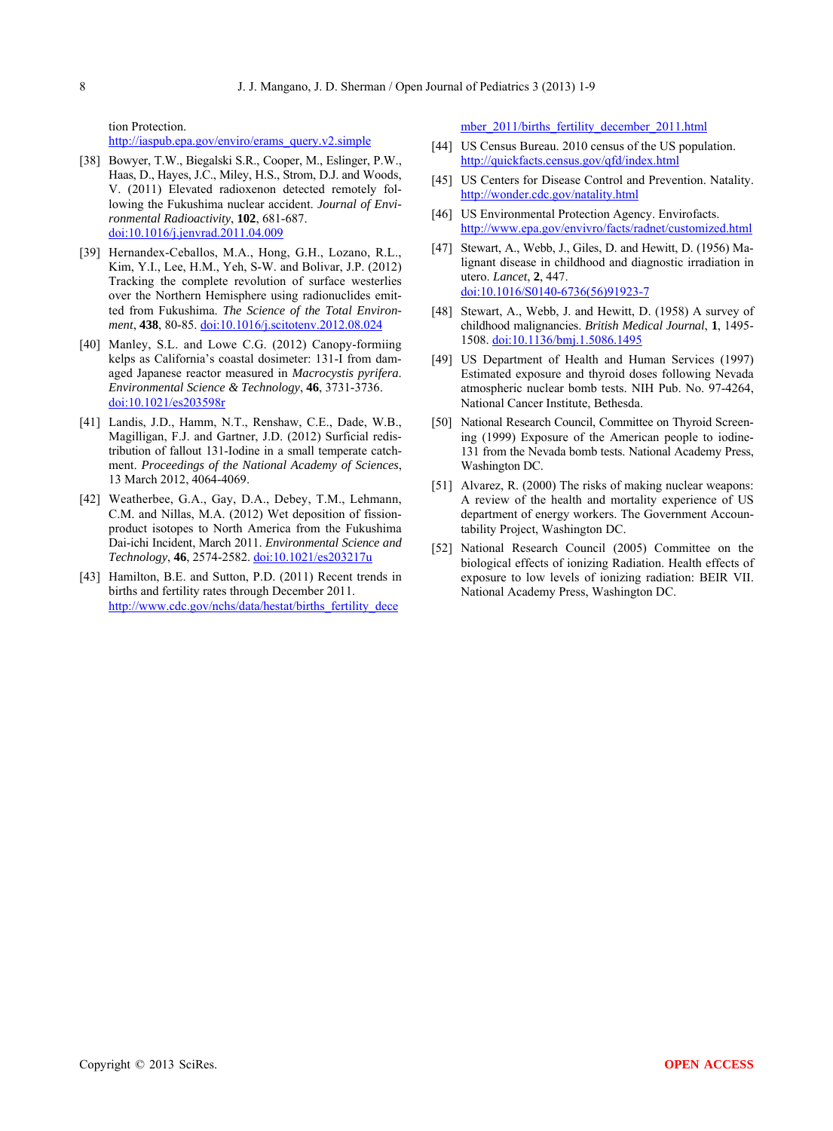tion Protection. http://iaspub.epa.gov/enviro/erams\_query.v2.simple

- [38] Bowyer, T.W., Biegalski S.R., Cooper, M., Eslinger, P.W., Haas, D., Hayes, J.C., Miley, H.S., Strom, D.J. and Woods, V. (2011) Elevated radioxenon detected remotely following the Fukushima nuclear accident. *Journal of Environmental Radioactivity*, **102**, 681-687. [doi:10.1016/j.jenvrad.2011.04.009](http://dx.doi.org/10.1016/j.jenvrad.2011.04.009)
- [39] Hernandex-Ceballos, M.A., Hong, G.H., Lozano, R.L., Kim, Y.I., Lee, H.M., Yeh, S-W. and Bolivar, J.P. (2012) Tracking the complete revolution of surface westerlies over the Northern Hemisphere using radionuclides emitted from Fukushima. *The Science of the Total Environment*, **438**, 80-85. [doi:10.1016/j.scitotenv.2012.08.024](http://dx.doi.org/10.1016/j.scitotenv.2012.08.024)
- [40] Manley, S.L. and Lowe C.G. (2012) Canopy-formiing kelps as California's coastal dosimeter: 131-I from damaged Japanese reactor measured in *Macrocystis pyrifera*. *Environmental Science & Technology*, **46**, 3731-3736. [doi:10.1021/es203598r](http://dx.doi.org/10.1021/es203598r)
- [41] Landis, J.D., Hamm, N.T., Renshaw, C.E., Dade, W.B., Magilligan, F.J. and Gartner, J.D. (2012) Surficial redistribution of fallout 131-Iodine in a small temperate catchment. *Proceedings of the National Academy of Sciences*, 13 March 2012, 4064-4069.
- [42] Weatherbee, G.A., Gay, D.A., Debey, T.M., Lehmann, C.M. and Nillas, M.A. (2012) Wet deposition of fissionproduct isotopes to North America from the Fukushima Dai-ichi Incident, March 2011. *Environmental Science and Technology*, **46**, 2574-2582. [doi:10.1021/es203217u](http://dx.doi.org/10.1021/es203217u)
- [43] Hamilton, B.E. and Sutton, P.D. (2011) Recent trends in births and fertility rates through December 2011. http://www.cdc.gov/nchs/data/hestat/births fertility dece

[mber\\_2011/births\\_fertility\\_december\\_2011.html](http://www.cdc.gov/nchs/data/hestat/births_fertility_december_2011/births_fertility_december_2011.htm)

- [44] US Census Bureau. 2010 census of the US population. <http://quickfacts.census.gov/qfd/index.html>
- [45] US Centers for Disease Control and Prevention. Natality. <http://wonder.cdc.gov/natality.html>
- [46] US Environmental Protection Agency. Envirofacts. <http://www.epa.gov/envivro/facts/radnet/customized.html>
- [47] Stewart, A., Webb, J., Giles, D. and Hewitt, D. (1956) Malignant disease in childhood and diagnostic irradiation in utero. *Lancet*, **2**, 447. [doi:10.1016/S0140-6736\(56\)91923-7](http://dx.doi.org/10.1016/S0140-6736(56)91923-7)
- [48] Stewart, A., Webb, J. and Hewitt, D. (1958) A survey of childhood malignancies. *British Medical Journal*, **1**, 1495- 1508. [doi:10.1136/bmj.1.5086.1495](http://dx.doi.org/10.1136/bmj.1.5086.1495)
- [49] US Department of Health and Human Services (1997) Estimated exposure and thyroid doses following Nevada atmospheric nuclear bomb tests. NIH Pub. No. 97-4264, National Cancer Institute, Bethesda.
- [50] National Research Council, Committee on Thyroid Screening (1999) Exposure of the American people to iodine-131 from the Nevada bomb tests. National Academy Press, Washington DC.
- [51] Alvarez, R. (2000) The risks of making nuclear weapons: A review of the health and mortality experience of US department of energy workers. The Government Accountability Project, Washington DC.
- [52] National Research Council (2005) Committee on the biological effects of ionizing Radiation. Health effects of exposure to low levels of ionizing radiation: BEIR VII. National Academy Press, Washington DC.